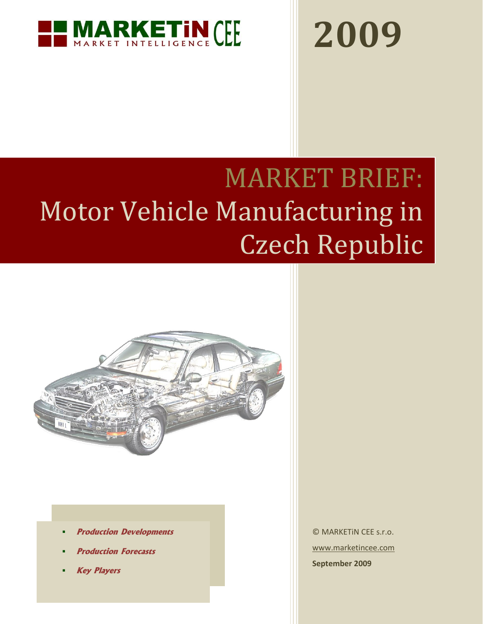

# **2009**

## MARKET BRIEF: Motor Vehicle Manufacturing in Czech Republic



- **Production Developments**
- **Production Forecasts**
- **Key Players**

© MARKETiN CEE s.r.o. [www.marketincee.com](http://www.marketincee.com/) **September 2009**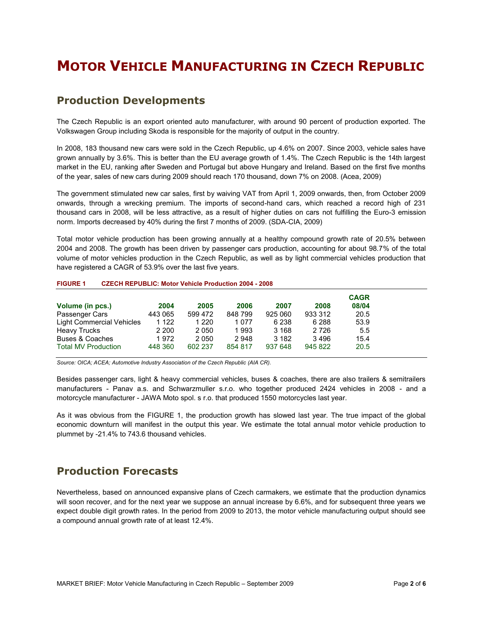## **MOTOR VEHICLE MANUFACTURING IN CZECH REPUBLIC**

## **Production Developments**

The Czech Republic is an export oriented auto manufacturer, with around 90 percent of production exported. The Volkswagen Group including Skoda is responsible for the majority of output in the country.

In 2008, 183 thousand new cars were sold in the Czech Republic, up 4.6% on 2007. Since 2003, vehicle sales have grown annually by 3.6%. This is better than the EU average growth of 1.4%. The Czech Republic is the 14th largest market in the EU, ranking after Sweden and Portugal but above Hungary and Ireland. Based on the first five months of the year, sales of new cars during 2009 should reach 170 thousand, down 7% on 2008. (Acea, 2009)

The government stimulated new car sales, first by waiving VAT from April 1, 2009 onwards, then, from October 2009 onwards, through a wrecking premium. The imports of second-hand cars, which reached a record high of 231 thousand cars in 2008, will be less attractive, as a result of higher duties on cars not fulfilling the Euro-3 emission norm. Imports decreased by 40% during the first 7 months of 2009. (SDA-CIA, 2009)

Total motor vehicle production has been growing annually at a healthy compound growth rate of 20.5% between 2004 and 2008. The growth has been driven by passenger cars production, accounting for about 98.7% of the total volume of motor vehicles production in the Czech Republic, as well as by light commercial vehicles production that have registered a CAGR of 53.9% over the last five years.

#### <span id="page-1-0"></span>**FIGURE 1 CZECH REPUBLIC: Motor Vehicle Production 2004 - 2008**

| Volume (in pcs.)                 | 2004    | 2005    | 2006    | 2007    | 2008    | <b>CAGR</b><br>08/04 |
|----------------------------------|---------|---------|---------|---------|---------|----------------------|
| Passenger Cars                   | 443 065 | 599 472 | 848799  | 925 060 | 933 312 | 20.5                 |
| <b>Light Commercial Vehicles</b> | 1 1 2 2 | 1 2 2 0 | 1 0 7 7 | 6 238   | 6 2 8 8 | 53.9                 |
| <b>Heavy Trucks</b>              | 2 2 0 0 | 2 0 5 0 | 1 993   | 3 1 6 8 | 2 7 2 6 | 5.5                  |
| Buses & Coaches                  | 1972    | 2 0 5 0 | 2948    | 3 1 8 2 | 3496    | 15.4                 |
| <b>Total MV Production</b>       | 448 360 | 602 237 | 854 817 | 937 648 | 945 822 | 20.5                 |

*Source: OICA; ACEA; Automotive Industry Association of the Czech Republic (AIA CR).*

Besides passenger cars, light & heavy commercial vehicles, buses & coaches, there are also trailers & semitrailers manufacturers - Panav a.s. and Schwarzmuller s.r.o. who together produced 2424 vehicles in 2008 - and a motorcycle manufacturer - JAWA Moto spol. s r.o. that produced 1550 motorcycles last year.

As it was obvious from the [FIGURE 1,](#page-1-0) the production growth has slowed last year. The true impact of the global economic downturn will manifest in the output this year. We estimate the total annual motor vehicle production to plummet by -21.4% to 743.6 thousand vehicles.

## **Production Forecasts**

Nevertheless, based on announced expansive plans of Czech carmakers, we estimate that the production dynamics will soon recover, and for the next year we suppose an annual increase by 6.6%, and for subsequent three years we expect double digit growth rates. In the period from 2009 to 2013, the motor vehicle manufacturing output should see a compound annual growth rate of at least 12.4%.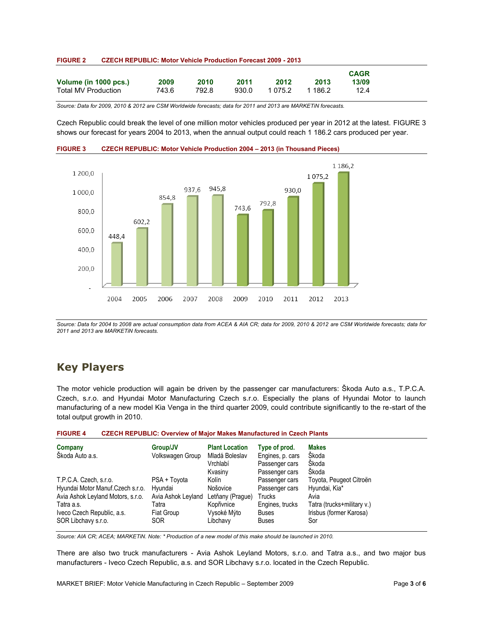| <b>FIGURE 2</b> | <b>CZECH REPUBLIC: Motor Vehicle Production Forecast 2009 - 2013</b> |
|-----------------|----------------------------------------------------------------------|
|-----------------|----------------------------------------------------------------------|

|                       |       |       |       |         |         | <b>CAGR</b> |
|-----------------------|-------|-------|-------|---------|---------|-------------|
| Volume (in 1000 pcs.) | 2009  | 2010  | 2011  | 2012    | 2013    | 13/09       |
| Total MV Production   | 743.6 | 792.8 | 930.0 | 1 075.2 | 1 186.2 | 12.4        |

*Source: Data for 2009, 2010 & 2012 are CSM Worldwide forecasts; data for 2011 and 2013 are MARKETiN forecasts.*

Czech Republic could break the level of one million motor vehicles produced per year in 2012 at the latest. [FIGURE 3](#page-2-0) shows our forecast for years 2004 to 2013, when the annual output could reach 1 186.2 cars produced per year.



<span id="page-2-0"></span>**FIGURE 3 CZECH REPUBLIC: Motor Vehicle Production 2004 – 2013 (in Thousand Pieces)**

*Source: Data for 2004 to 2008 are actual consumption data from ACEA & AIA CR; data for 2009, 2010 & 2012 are CSM Worldwide forecasts; data for 2011 and 2013 are MARKETiN forecasts.*

## **Key Players**

The motor vehicle production will again be driven by the passenger car manufacturers: Škoda Auto a.s., T.P.C.A. Czech, s.r.o. and Hyundai Motor Manufacturing Czech s.r.o. Especially the plans of Hyundai Motor to launch manufacturing of a new model Kia Venga in the third quarter 2009, could contribute significantly to the re-start of the total output growth in 2010.

| <b>FIGURE 4</b> |  | <b>CZECH REPUBLIC: Overview of Major Makes Manufactured in Czech Plants</b> |  |  |
|-----------------|--|-----------------------------------------------------------------------------|--|--|
|-----------------|--|-----------------------------------------------------------------------------|--|--|

| Company<br>Škoda Auto a.s.        | Group/JV<br>Volkswagen Group | <b>Plant Location</b><br>Mladá Boleslav<br>Vrchlabí<br>Kvasinv | Type of prod.<br>Engines, p. cars<br>Passenger cars<br>Passenger cars | <b>Makes</b><br>Škoda<br>Škoda<br>Škoda |
|-----------------------------------|------------------------------|----------------------------------------------------------------|-----------------------------------------------------------------------|-----------------------------------------|
| T.P.C.A. Czech, s.r.o.            | PSA + Toyota                 | Kolín                                                          | Passenger cars                                                        | Toyota, Peugeot Citroën                 |
| Hyundai Motor Manuf.Czech s.r.o.  | Hyundai                      | Nošovice                                                       | Passenger cars                                                        | Hyundai, Kia*                           |
| Avia Ashok Leyland Motors, s.r.o. | Avia Ashok Leyland           | Letňany (Prague)                                               | Trucks                                                                | Avia                                    |
| Tatra a.s.                        | Tatra                        | Kopřivnice                                                     | Engines, trucks                                                       | Tatra (trucks+military v.)              |
| Iveco Czech Republic, a.s.        | Fiat Group                   | Vysoké Mýto                                                    | <b>Buses</b>                                                          | Irisbus (former Karosa)                 |
| SOR Libchavy s.r.o.               | <b>SOR</b>                   | Libchavy                                                       | <b>Buses</b>                                                          | Sor                                     |

*Source: AIA CR; ACEA; MARKETiN. Note: \* Production of a new model of this make should be launched in 2010.*

There are also two truck manufacturers - Avia Ashok Leyland Motors, s.r.o. and Tatra a.s., and two major bus manufacturers - Iveco Czech Republic, a.s. and SOR Libchavy s.r.o. located in the Czech Republic.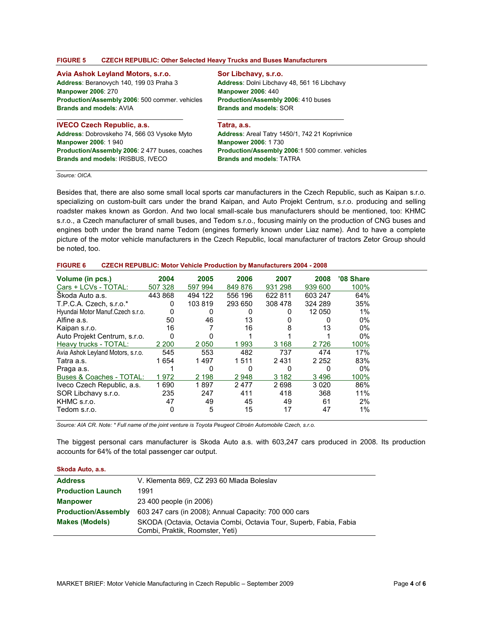#### **FIGURE 5 CZECH REPUBLIC: Other Selected Heavy Trucks and Buses Manufacturers**

#### **Avia Ashok Leyland Motors, s.r.o.**

**Address**: Beranovych 140, 199 03 Praha 3 **Manpower 2006**: 270 **Production/Assembly 2006**: 500 commer. vehicles **Brands and models**: AVIA

### **IVECO Czech Republic, a.s. Address**: Dobrovskeho 74, 566 03 Vysoke Myto **Manpower 2006**: 1 940

 $\mathcal{L}_\text{max}$  and  $\mathcal{L}_\text{max}$  and  $\mathcal{L}_\text{max}$  and  $\mathcal{L}_\text{max}$ 

 $\mathcal{L}_\text{max}$  and  $\mathcal{L}_\text{max}$  and  $\mathcal{L}_\text{max}$  and  $\mathcal{L}_\text{max}$ **Tatra, a.s.**

**Sor Libchavy, s.r.o.**

**Manpower 2006**: 440

**Brands and models**: SOR

**Production/Assembly 2006**: 2 477 buses, coaches **Brands and models**: IRISBUS, IVECO

**Address**: Areal Tatry 1450/1, 742 21 Koprivnice **Manpower 2006**: 1 730 **Production/Assembly 2006**:1 500 commer. vehicles **Brands and models**: TATRA

**Address**: Dolni Libchavy 48, 561 16 Libchavy

**Production/Assembly 2006**: 410 buses

*Source: OICA.*

Besides that, there are also some small local sports car manufacturers in the Czech Republic, such as Kaipan s.r.o. specializing on custom-built cars under the brand Kaipan, and Auto Projekt Centrum, s.r.o. producing and selling roadster makes known as Gordon. And two local small-scale bus manufacturers should be mentioned, too: KHMC s.r.o., a Czech manufacturer of small buses, and Tedom s.r.o., focusing mainly on the production of CNG buses and engines both under the brand name Tedom (engines formerly known under Liaz name). And to have a complete picture of the motor vehicle manufacturers in the Czech Republic, local manufacturer of tractors Zetor Group should be noted, too.

| <b>CZECH REPUBLIC: Motor Vehicle Production by Manufacturers 2004 - 2008</b><br><b>FIGURE 6</b> |  |
|-------------------------------------------------------------------------------------------------|--|
|-------------------------------------------------------------------------------------------------|--|

| Volume (in pcs.)                  | 2004    | 2005    | 2006    | 2007    | 2008    | '08 Share |
|-----------------------------------|---------|---------|---------|---------|---------|-----------|
| Cars + LCVs - TOTAL:              | 507 328 | 597 994 | 849 876 | 931 298 | 939 600 | 100%      |
| Skoda Auto a.s.                   | 443 868 | 494 122 | 556 196 | 622 811 | 603 247 | 64%       |
| T.P.C.A. Czech. s.r.o.*           |         | 103819  | 293 650 | 308 478 | 324 289 | 35%       |
| Hyundai Motor Manuf. Czech s.r.o. |         |         |         |         | 12 050  | $1\%$     |
| Alfine a.s.                       | 50      | 46      | 13      |         |         | $0\%$     |
| Kaipan s.r.o.                     | 16      |         | 16      |         | 13      | $0\%$     |
| Auto Projekt Centrum, s.r.o.      | ŋ       |         |         |         |         | $0\%$     |
| Heavy trucks - TOTAL:             | 2 2 0 0 | 2 0 5 0 | 1993    | 3 1 6 8 | 2726    | 100%      |
| Avia Ashok Leyland Motors, s.r.o. | 545     | 553     | 482     | 737     | 474     | 17%       |
| Tatra a.s.                        | 1654    | 1497    | 1511    | 2431    | 2 2 5 2 | 83%       |
| Praga a.s.                        |         | 0       |         |         | 0       | $0\%$     |
| Buses & Coaches - TOTAL:          | 1972    | 2 1 9 8 | 2948    | 3 1 8 2 | 3496    | 100%      |
| Iveco Czech Republic, a.s.        | 1690    | 1897    | 2477    | 2698    | 3 0 2 0 | 86%       |
| SOR Libchavy s.r.o.               | 235     | 247     | 411     | 418     | 368     | 11%       |
| KHMC s.r.o.                       | 47      | 49      | 45      | 49      | 61      | 2%        |
| Tedom s.r.o.                      |         | 5       | 15      | 17      | 47      | $1\%$     |

*Source: AIA CR. Note: \* Full name of the joint venture is Toyota Peugeot Citroën Automobile Czech, s.r.o.*

The biggest personal cars manufacturer is Skoda Auto a.s. with 603,247 cars produced in 2008. Its production accounts for 64% of the total passenger car output.

**Skoda Auto, a.s.**

| <b>Address</b>             | V. Klementa 869, CZ 293 60 Mlada Boleslav                                                            |
|----------------------------|------------------------------------------------------------------------------------------------------|
| <b>Production Launch</b>   | 1991                                                                                                 |
| <b>Manpower</b>            | 23 400 people (in 2006)                                                                              |
| <b>Production/Assembly</b> | 603 247 cars (in 2008); Annual Capacity: 700 000 cars                                                |
| <b>Makes (Models)</b>      | SKODA (Octavia, Octavia Combi, Octavia Tour, Superb, Fabia, Fabia<br>Combi, Praktik, Roomster, Yeti) |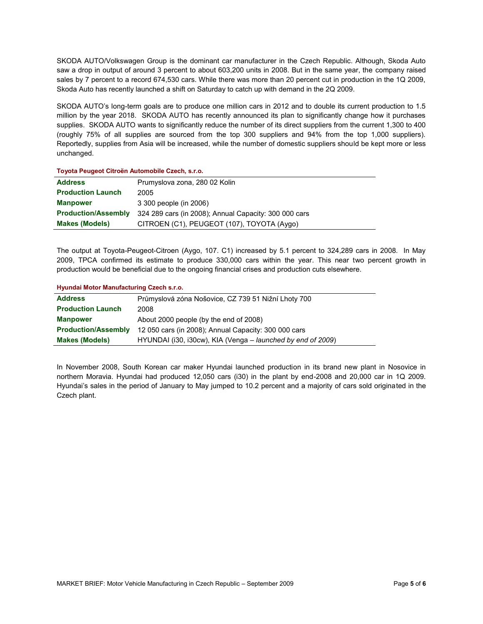SKODA AUTO/Volkswagen Group is the dominant car manufacturer in the Czech Republic. Although, Skoda Auto saw a drop in output of around 3 percent to about 603,200 units in 2008. But in the same year, the company raised sales by 7 percent to a record 674,530 cars. While there was more than 20 percent cut in production in the 1Q 2009, Skoda Auto has recently launched a shift on Saturday to catch up with demand in the 2Q 2009.

SKODA AUTO's long-term goals are to produce one million cars in 2012 and to double its current production to 1.5 million by the year 2018. SKODA AUTO has recently announced its plan to significantly change how it purchases supplies. SKODA AUTO wants to significantly reduce the number of its direct suppliers from the current 1,300 to 400 (roughly 75% of all supplies are sourced from the top 300 suppliers and 94% from the top 1,000 suppliers). Reportedly, supplies from Asia will be increased, while the number of domestic suppliers should be kept more or less unchanged.

| <b>Address</b>             | Prumyslova zona, 280 02 Kolin                         |
|----------------------------|-------------------------------------------------------|
| <b>Production Launch</b>   | 2005                                                  |
| <b>Manpower</b>            | 3 300 people (in 2006)                                |
| <b>Production/Assembly</b> | 324 289 cars (in 2008); Annual Capacity: 300 000 cars |
| <b>Makes (Models)</b>      | CITROEN (C1), PEUGEOT (107), TOYOTA (Aygo)            |

The output at Toyota-Peugeot-Citroen (Aygo, 107. C1) increased by 5.1 percent to 324,289 cars in 2008. In May 2009, TPCA confirmed its estimate to produce 330,000 cars within the year. This near two percent growth in production would be beneficial due to the ongoing financial crises and production cuts elsewhere.

#### **Hyundai Motor Manufacturing Czech s.r.o.**

| <b>Address</b>             | Průmyslová zóna Nošovice, CZ 739 51 Nižní Lhoty 700         |
|----------------------------|-------------------------------------------------------------|
| <b>Production Launch</b>   | 2008                                                        |
| <b>Manpower</b>            | About 2000 people (by the end of 2008)                      |
| <b>Production/Assembly</b> | 12 050 cars (in 2008); Annual Capacity: 300 000 cars        |
| <b>Makes (Models)</b>      | HYUNDAI (i30, i30cw), KIA (Venga – launched by end of 2009) |

In November 2008, South Korean car maker Hyundai launched production in its brand new plant in Nosovice in northern Moravia. Hyundai had produced 12,050 cars (i30) in the plant by end-2008 and 20,000 car in 1Q 2009. Hyundai's sales in the period of January to May jumped to 10.2 percent and a majority of cars sold originated in the Czech plant.